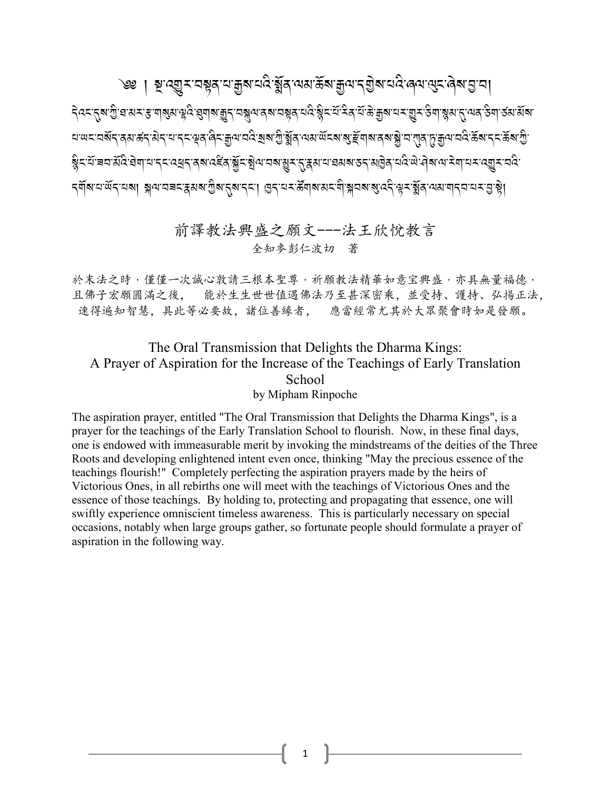৾*৩*৶া ৠ<sup>੶</sup>৻য়ৄয়ৼয়য়ৢঽৼয়<sub>য়ৗৣ</sub>য়ৼঢ়৻ৼ৻য়ৣ৾ঀৼ৸য়৻ড়ৢৼ৶ৼঀৢ৸৻৸ৼঀড়৸ড়৸ৼঀ৸৸৸৸৸৸৸৸৸৸৸৸৸৸৸৸৸৸৸৸৸৸৸

देवदर्**दश**शुद्धास्रहणबुसञ्चदेखुणबाकुदावञ्जूलपुरुषायञ्चद्धार्थक्षेददिन्दिन्देशकुबायदाशुद्यकेणञ्जूसाद्गुल्पवार्कणा <u>য়ড়ৼয়ড়৻৴ড়৸ড়৻৴ড়৻৸৻৸৸৴৻</u>৻ড়য়৻ড়৸ড়৻৸ড়৻য়৸৻ঢ়ঢ়ড়৻৸ড়৻ড়৻ড়৻ড়৻ড়৻ড়৻ড়৻ড়৻ড়৻ড়৻ড়৻ড়৻ড়৻ৼ৻ড়৻ৼ৻ড়৻ড়৻ 

#### 前譯教法興盛之願文---法王欣悅教言 全知参彭仁波切 著

於末法之時,僅僅一次誠心敦請三根本聖尊,祈願教法精華如意宝興盛,亦具無量福德, 且佛子宏願圓滿之後,能於生生世世值遇佛法乃至甚深密乘,並受持、護持、弘揚正法, 速得遍知智慧,具此等必要故,諸位善緣者, 應當經常尤其於大眾聚會時如是發願。

#### The Oral Transmission that Delights the Dharma Kings: A Prayer of Aspiration for the Increase of the Teachings of Early Translation School by Mipham Rinpoche

The aspiration prayer, entitled "The Oral Transmission that Delights the Dharma Kings", is a prayer for the teachings of the Early Translation School to flourish. Now, in these final days, one is endowed with immeasurable merit by invoking the mindstreams of the deities of the Three Roots and developing enlightened intent even once, thinking "May the precious essence of the teachings flourish!" Completely perfecting the aspiration prayers made by the heirs of Victorious Ones, in all rebirths one will meet with the teachings of Victorious Ones and the essence of those teachings. By holding to, protecting and propagating that essence, one will swiftly experience omniscient timeless awareness. This is particularly necessary on special occasions, notably when large groups gather, so fortunate people should formulate a prayer of aspiration in the following way.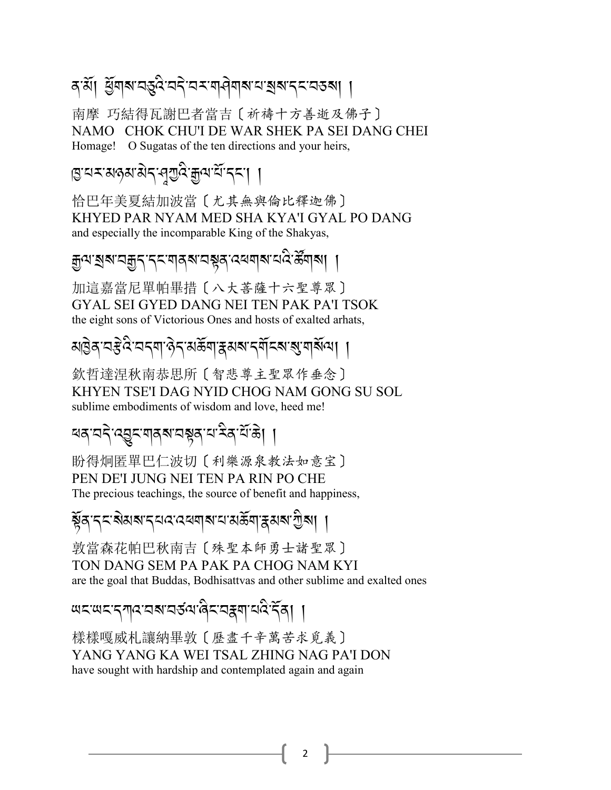### ৰ'ৰ্মা ৰ্ম্ভবাৰ্যবৰ্ত্ত্ববৈদ্যৰ বাৰ্ণবাৰ্য ব্ৰম্বাদ্যৰ বিদ্যা

南摩 巧結得瓦謝巴者當吉〔祈禱十方善逝及佛子〕 NAMO CHOK CHU'I DE WAR SHEK PA SEI DANG CHEI Homage! O Sugatas of the ten directions and your heirs,

এ.ল.প্ৰথপ্ৰ প্ৰতিষ্ঠা প্ৰত্যা

恰巴年美夏結加波當〔尤其無與倫比釋迦佛〕 KHYED PAR NYAM MED SHA KYA'I GYAL PO DANG and especially the incomparable King of the Shakyas,

ক্ৰুণ ৰৰ"নক্কুন নেমাৰৰ নম্বৰ বেৰণৰ নেতৃ স্কুৰাৰ। ।

加這嘉當尼單帕畢措〔八大菩薩十六聖尊眾〕 GYAL SEI GYED DANG NEI TEN PAK PA'I TSOK the eight sons of Victorious Ones and hosts of exalted arhats,

### <u> য়৾৾</u><br>য়ড়য়ৼড়৻ৼয়ৼঢ়৻য়ড়য়য়য়য়য়য়য়য়য়

欽哲達涅秋南恭思所〔智悲尊主聖眾作垂念〕 KHYEN TSE'I DAG NYID CHOG NAM GONG SU SOL sublime embodiments of wisdom and love, heed me!

<u>สสุ สรุ สมูร สุ</u>สุสารหลุส สาร์ สาร์

盼得炯匿單巴仁波切〔利樂源泉教法如意宝〕 PEN DE'I JUNG NEI TEN PA RIN PO CHE The precious teachings, the source of benefit and happiness,

য়ৢ৾ঌৼ৻ৼৼ৶য়৸ৼৼঢ়৸ড়৻ড়৸ড়৻ড়৸৸ৼ৸ৼ৸ৼ৸৸৸৸ৼ৸ৼ৸ঢ়৸ঢ়

敦當森花帕巴秋南吉〔殊聖本師勇士諸聖眾〕 TON DANG SEM PA PAK PA CHOG NAM KYI are the goal that Buddas, Bodhisattvas and other sublime and exalted ones

<u>พรพร</u>รุฑุสสราสรัสเดิรสรุสาสสิรัส

樣樣嘎威札讓納畢敦〔歷盡千辛萬苦求覓義〕 YANG YANG KA WEI TSAL ZHING NAG PA'I DON have sought with hardship and contemplated again and again

 $\overline{2}$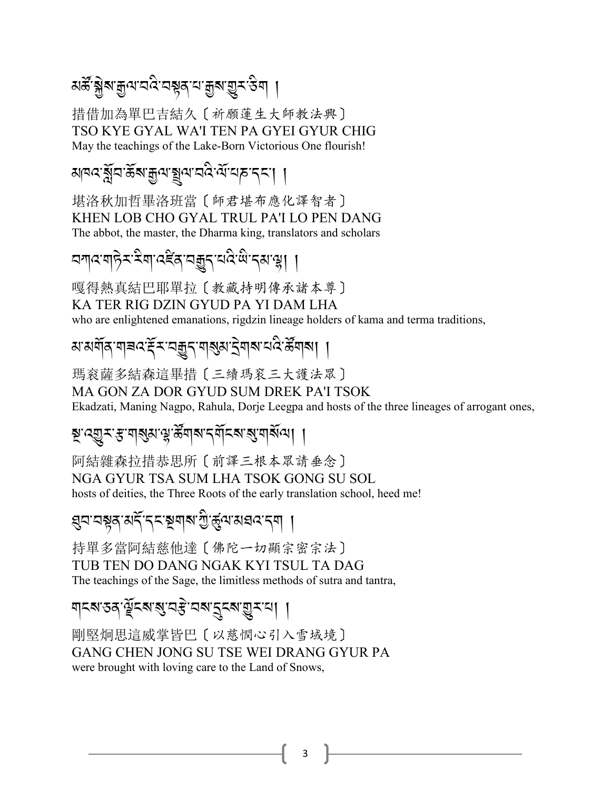### *য়ড়ৣ৾ৠ৶৾৾*ৠ৸৻৸ৢ৻ৼ৻ড়৸৻৸৸৸৸৸৸৸৸৸৸৸৸

措借加為單巴吉結久〔祈願蓮生大師教法興〕 TSO KYE GYAL WA'I TEN PA GYEI GYUR CHIG May the teachings of the Lake-Born Victorious One flourish!

#### <u> মান্দই্র্মন'র্ইম'ক্লুন'ম্</u>পুন'নই'র্ম'ন্স'ন্দ'ন্'। ।

堪洛秋加哲畢洛班當〔師君堪布應化譯智者〕 KHEN LOB CHO GYAL TRUL PA'I LO PEN DANG The abbot, the master, the Dharma king, translators and scholars

## <u> বশ্বযোটক ধূৰা বহুৰ বহুৰ বৰুৱে লেক্ট্ৰা ।</u>

嘎得熱真結巴耶單拉〔教藏持明傳承諸本尊〕 KA TER RIG DZIN GYUD PA YI DAM LHA who are enlightened emanations, rigdzin lineage holders of kama and terma traditions,

## য়<sup>ॱ</sup>য়য়৾ঀ<sup>৽</sup>য়ৗৼ৻ৼৄৼ৴য়৾য়৽৴৻য়৾ঀয়৽৻ড়৸ৼঢ়৻ৼ৻ৼৢয়৸য়৻

瑪衮薩多結森這畢措〔三續瑪衮三大護法眾〕 MA GON ZA DOR GYUD SUM DREK PA'I TSOK Ekadzati, Maning Nagpo, Rahula, Dorje Leegpa and hosts of the three lineages of arrogant ones,

#### য়ৢ৽৻য়ৣঽৼৼ৽ঀয়ৣয়৽৻ৼৢ৽ড়ৢয়৸৶ৼ৻য়৾ৼৼ৸ৼ৸ৼ৻৸

阿結雜森拉措恭思所〔前譯三根本眾請垂念〕 NGA GYUR TSA SUM LHA TSOK GONG SU SOL hosts of deities, the Three Roots of the early translation school, heed me!

#### <mark>্</mark>ধন'নশ্পুৰ'মৰ্দ্<sup>:</sup>দ্ন'শ্পুৰাৰ'শ্ৰুপ্ৰ'মন্নন্মৰ দ্বা

持單多當阿結慈他達〔佛陀一切顯宗密宗法〕 TUB TEN DO DANG NGAK KYI TSUL TA DAG The teachings of the Sage, the limitless methods of sutra and tantra,

#### ঘ্ৰমত্তৰ স্ট্ৰমন্ত্ৰ'ন্নমন্ত্ৰমন্ত্ৰমান। ।

剛堅炯思這威掌皆巴〔以慈憫心引入雪域境〕 GANG CHEN JONG SU TSE WEI DRANG GYUR PA were brought with loving care to the Land of Snows,

 $\overline{3}$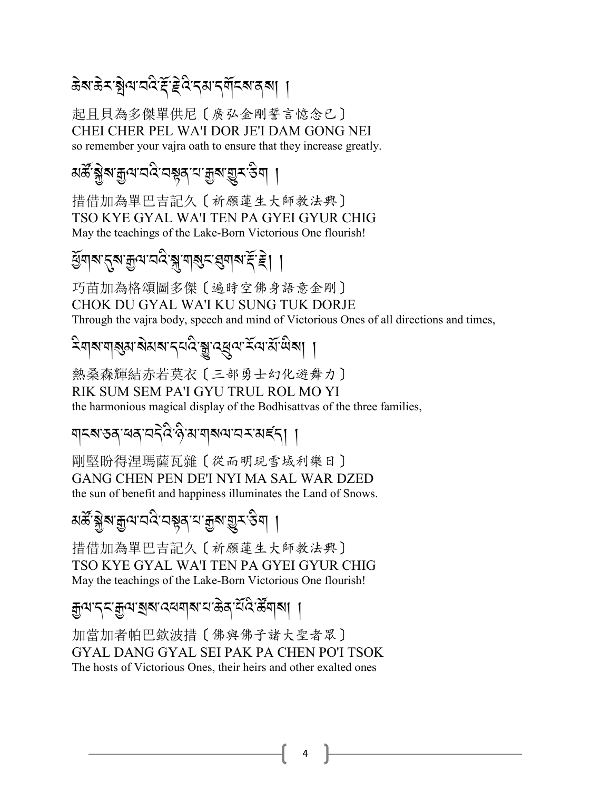### ଌ୕ଵ୴ଽଽୢୖୠ୴୴ୖୡୖ*ଽ*ୖ୕ଽୡ<sup>୵</sup>ଽ୶୳ଽ୴ଽ୶୲୲୲

起目貝為多傑單供尼〔廣弘金剛誓言憶念已〕 CHEI CHER PEL WA'I DOR JE'I DAM GONG NEI so remember your vajra oath to ensure that they increase greatly.

### *য়ড়ৣ৾ৠ৶৾৾*ৠ৸৸ৢ৸৻৸৸ড়৸ৼঢ়৸ড়৸ৼ৻ড়৸

措借加為單巴吉記久〔祈願蓮生大師教法興〕 TSO KYE GYAL WA'I TEN PA GYEI GYUR CHIG May the teachings of the Lake-Born Victorious One flourish!

### र्युषाबाह्रबाज्ञुत्पावदि ब्राणबुद्ध्यबाद्य हैं। ।

巧苗加為格頌圖多傑〔遍時空佛身語意金剛〕 CHOK DU GYAL WA'I KU SUNG TUK DORJE Through the vajra body, speech and mind of Victorious Ones of all directions and times,

## <sup>ঽ</sup>য়য়য়য়য়য়য়য়ৼঢ়ঽড়ড়ড়৻ড়৸ৼঢ়ড়ড়য়ঢ়

熱桑森輝結赤若莫衣〔三部勇士幻化遊舞力〕 RIK SUM SEM PA'I GYU TRUL ROL MO YI the harmonious magical display of the Bodhisattvas of the three families,

#### য়ঽয়ড়ঽৼ৶ৼঢ়ৼৣ৻৸৻৸৸৸৸৸৸৸৸৸৸৸৸৸৸

剛堅盼得涅瑪薩瓦雜〔從而明現雪域利樂日〕 GANG CHEN PEN DE'I NYI MA SAL WAR DZED the sun of benefit and happiness illuminates the Land of Snows.

### য়ড়<u>ॖॷ</u>ॕॷॵय़ऀॷॎॾऻॷॳॷॴख़ॷॎऻ

措借加為單巴吉記久〔祈願蓮生大師教法興〕 TSO KYE GYAL WA'I TEN PA GYEI GYUR CHIG May the teachings of the Lake-Born Victorious One flourish!

#### য়ৢ৾৾ঀ৾ৼঀৼয়ৣ৾ঀৼৗৠ৶ৼ৻৸য়৸ৼ৸ড়ৢঀ৾ৼৢৼ৻ৼ৻ৼ৻৸৸

加當加者帕巴欽波措〔佛與佛子諸大聖者眾〕 GYAL DANG GYAL SEI PAK PA CHEN PO'I TSOK The hosts of Victorious Ones, their heirs and other exalted ones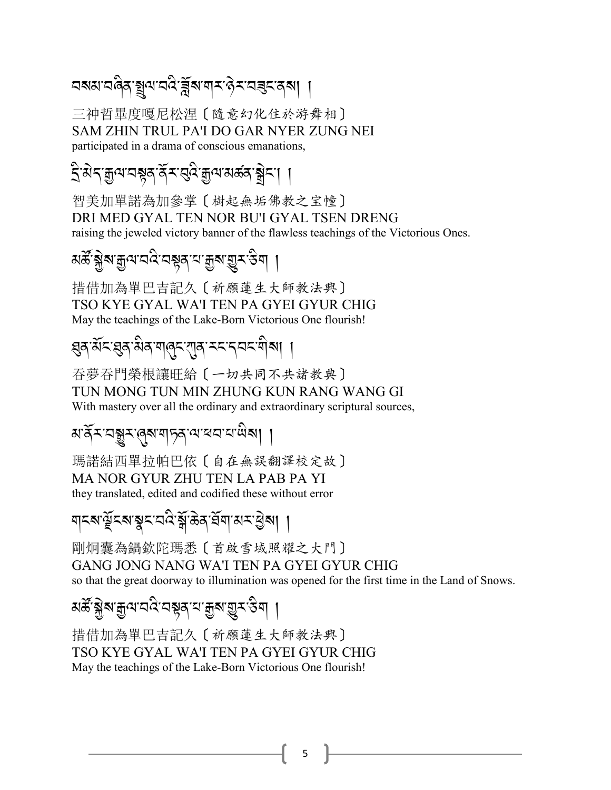### ଘঝঝ'ৱৰিম্যুন'ৱৰ্ষিয়'ৰ্ম'ণ কুম'ৱৰ্মৰ ।।

三神哲畢度嘎尼松涅〔隨意幻化住於游舞相〕 SAM ZHIN TRUL PA'I DO GAR NYER ZUNG NEI participated in a drama of conscious emanations,

### द्वित्रज्ञयायश्लर्वे राष्ट्रियुत्पासक्रवाङ्गे ।

智美加單諾為加參掌〔樹起無垢佛教之宝幢〕 DRI MED GYAL TEN NOR BU'I GYAL TSEN DRENG raising the jeweled victory banner of the flawless teachings of the Victorious Ones.

## য়ড়ৣ৾ৠ৶<sup>য়</sup>৶য়ড়৻ৼঢ়ড়ৼঢ়ড়ঢ়ঢ়ড়ড়ঢ়ঢ়ড়ড়৸ঢ়

措借加為單巴吉記久〔祈願蓮生大師教法興〕 TSO KYE GYAL WA'I TEN PA GYEI GYUR CHIG May the teachings of the Lake-Born Victorious One flourish!

## 

吞夢吞門榮根讓旺給 〔 一切共同不共諸教典〕 TUN MONG TUN MIN ZHUNG KUN RANG WANG GI With mastery over all the ordinary and extraordinary scriptural sources,

#### য়৳য়ৼয়য়৸৻ঀয়ৼঀঢ়ঀ৻৸৻৸৻৸৻৸

瑪諾結西單拉帕巴依〔自在無誤翻譯校定故〕 MA NOR GYUR ZHU TEN LA PAB PA YI they translated, edited and codified these without error

### য়ঽয়ড়ৄৼয়ৠৼৼঽড়ৠড়ঀ৻য়৸ৼড়য়

剛炯囊為鍋欽陀瑪悉〔首啟雪域照耀之大門〕 GANG JONG NANG WA'I TEN PA GYEI GYUR CHIG so that the great doorway to illumination was opened for the first time in the Land of Snows.

# *য়ড়ৣ৾ৠ৶<sup>ড়</sup>৸*য়ড়৻য়ড়য়৸য়ঀয়৸ড়৸য়৾

措借加為單巴吉記久〔祈願蓮生大師教法興〕 TSO KYE GYAL WA'I TEN PA GYEI GYUR CHIG May the teachings of the Lake-Born Victorious One flourish!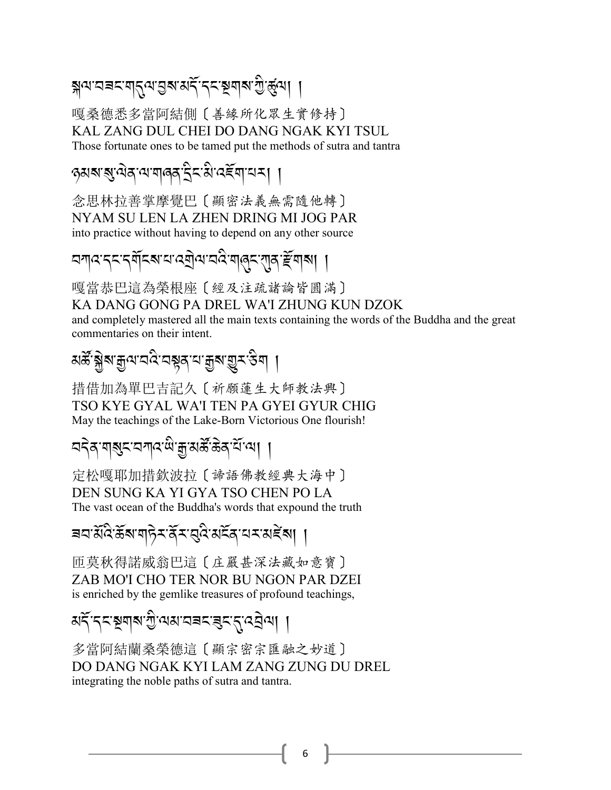### য়৸ৼ৸য়ৼৼয়ৗ৾৴৸৾ঀ৸ঀঀ৸ৼঀ৻৸৻৸৸৸ৼ৻৸৸

嘎桑德悉多當阿結側〔善緣所化眾生實修持〕 KAL ZANG DUL CHEI DO DANG NGAK KYI TSUL Those fortunate ones to be tamed put the methods of sutra and tantra

#### ় কৰা বাৰে বিদ্যালয় বিদ্যালয় বিদ্যালয় বিদ্যালয় বিদ্যালয় বিদ্যালয় বিদ্যালয় বিদ্যালয় বিদ্যালয় বিদ্যালয়<br>বিদ্যালয় বিদ্যালয় বিদ্যালয় বিদ্যালয় বিদ্যালয় বিদ্যালয় বিদ্যালয় বিদ্যালয় বিদ্যালয় বিদ্যালয় বিদ্যালয়

念思林拉善掌摩覺巴〔顯密法義無需隨他轉〕 NYAM SU LEN LA ZHEN DRING MI JOG PAR into practice without having to depend on any other source

## অশ্বৰেন মৰ্যিক আৰু অনিমান্ত্ৰী আৰু মানুষ্টি আৰু বি

嘎當恭巴這為榮根座〔經及注疏諸論皆圓滿〕

KA DANG GONG PA DREL WA'I ZHUNG KUN DZOK

and completely mastered all the main texts containing the words of the Buddha and the great commentaries on their intent.

## য়ড়ৣ৾ৠ৶<sup>য়</sup>৶য়ড়৻ৼড়য়৸ড়য়ৼড়৸

措借加為單巴吉記久〔祈願蓮生大師教法興〕 TSO KYE GYAL WA'I TEN PA GYEI GYUR CHIG May the teachings of the Lake-Born Victorious One flourish!

### <u> বইৰ শৰ্মব বিশ্ব জীৱ</u>ামৰ্ক্ষ ক্ৰম বিৰো ।

定松嘎耶加措欽波拉〔諦語佛教經典大海中〕 DEN SUNG KA YI GYA TSO CHEN PO LA The vast ocean of the Buddha's words that expound the truth

#### बवाऄॅदे ऊॅबाबा़6ेर दॅर बुदे अर्देद वर अङ्बा ।

匝莫秋得諾威翁巴這〔庄嚴甚深法藏如意寶〕 ZAB MO'I CHO TER NOR BU NGON PAR DZEI is enriched by the gemlike treasures of profound teachings,

## अङ्टिक अवाद्य पुल्लक्ष प्राप्तवाद्य प्राप्तविज्ञा ।

多當阿結蘭桑榮德這〔顯宗密宗匯融之妙道〕 DO DANG NGAK KYI LAM ZANG ZUNG DU DREL integrating the noble paths of sutra and tantra.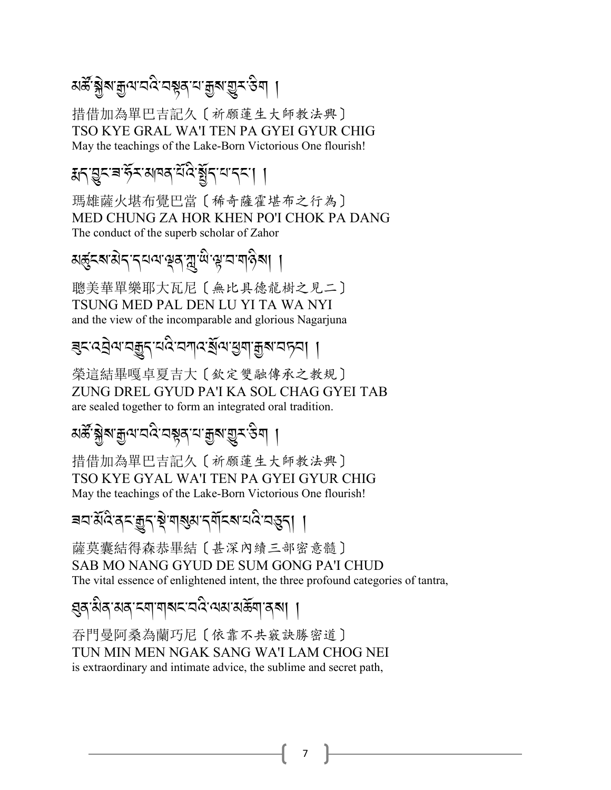# মৰ্স্কৃষ্ট্ৰৰ *মুন'ন'ই* প্ৰস্নীৰ প্ৰশ্ন প্ৰশ্ন প্ৰস্কৃতি প্ৰ

措借加為單巴吉記久〔祈願蓮生大師教法興〕 TSO KYE GRAL WA'I TEN PA GYEI GYUR CHIG May the teachings of the Lake-Born Victorious One flourish!

#### $\frac{1}{2}$  / /  $\frac{1}{2}$  /  $\frac{1}{2}$  /  $\frac{1}{2}$  /  $\frac{1}{2}$  /  $\frac{1}{2}$  /  $\frac{1}{2}$  /  $\frac{1}{2}$  /  $\frac{1}{2}$  /  $\frac{1}{2}$  /  $\frac{1}{2}$  /  $\frac{1}{2}$  /  $\frac{1}{2}$  /  $\frac{1}{2}$  /  $\frac{1}{2}$  /  $\frac{1}{2}$  /  $\frac{1}{2}$  /  $\frac{1}{2}$  /  $\frac$ R .<br>.<br>.

瑪雄薩火堪布覺巴當〔稀奇薩霍堪布之行為〕 MED CHUNG ZA HOR KHEN PO'I CHOK PA DANG The conduct of the superb scholar of Zahor

### মৰ্ক্তৃ<ৰ'মী<'<্ৰ'ৰ'শ্লুৰ'মু<sup>:মি</sup>'শ্লু'ব'শৰ্পিৰা ।

聰美華單樂耶大瓦尼〔無比具德龍樹之見二〕 TSUNG MED PAL DEN LU YI TA WA NYI and the view of the incomparable and glorious Nagarjuna

#### इद्द्य्*वार् युद्धैर् द्व्यज्ञेद्व्युद्*ध्याक्षुब्राञ्चन्ना J ,

榮這結畢嘎卓夏吉大〔欽定雙融傳承之教規〕 ZUNG DREL GYUD PA'I KA SOL CHAG GYEI TAB are sealed together to form an integrated oral tradition.

# মৰ্স্ক্ৰন্থীৰ শ্ৰীৰ প্ৰাপ্ত বৰ্ষ্ণ প্ৰাপ্ত বিষ্ণু প্ৰকল্প বিষ্ণু প্ৰতি প্ৰতি প্ৰতি কৰি প্ৰতি কৰি প্ৰতি কৰি প্ৰ<br>মাৰ্কি প্ৰতি কৰি প্ৰতি কৰি প্ৰতি কৰি প্ৰতি কৰি প্ৰতি কৰি প্ৰতি কৰি প্ৰতি কৰি প্ৰতি কৰি প্ৰতি কৰি প্ৰতি কৰি প্ৰ

措借加為單巴吉記久〔祈願蓮生大師教法興〕 TSO KYE GYAL WA'I TEN PA GYEI GYUR CHIG May the teachings of the Lake-Born Victorious One flourish!

# ৰবৰ্:প্ৰবৰ্ম স্পৰ্ট, পৰি প্ৰাপ্ত সম্পৰ্ক প্ৰাপ্ত স্পৰ্ট, পৰি প্ৰাপ্ত স্পৰ্ট, পৰি প্ৰাপ্ত স্পৰ্ট, পৰি প্ৰাপ্ত স<br>ৰাজ্য স্পৰ্ট, পৰি প্ৰাপ্ত স্পৰ্ট, পৰি প্ৰাপ্ত স্পৰ্ট, পৰি প্ৰাপ্ত স্পৰ্ট, পৰি প্ৰাপ্ত স্পৰ্ট, পৰি প্ৰাপ্ত স্পৰ

薩莫囊結得森恭畢結〔甚深內續三部密意髓〕 SAB MO NANG GYUD DE SUM GONG PA'I CHUD The vital essence of enlightened intent, the three profound categories of tantra,

### *,/- 3* A*/- 3/- %\$- \$?%- 2:* A*- =3- 3(* R*\$- /?*,-,-

吞門曼阿桑為蘭巧尼〔依靠不共竅訣勝密道〕 TUN MIN MEN NGAK SANG WA'I LAM CHOG NEI is extraordinary and intimate advice, the sublime and secret path,

7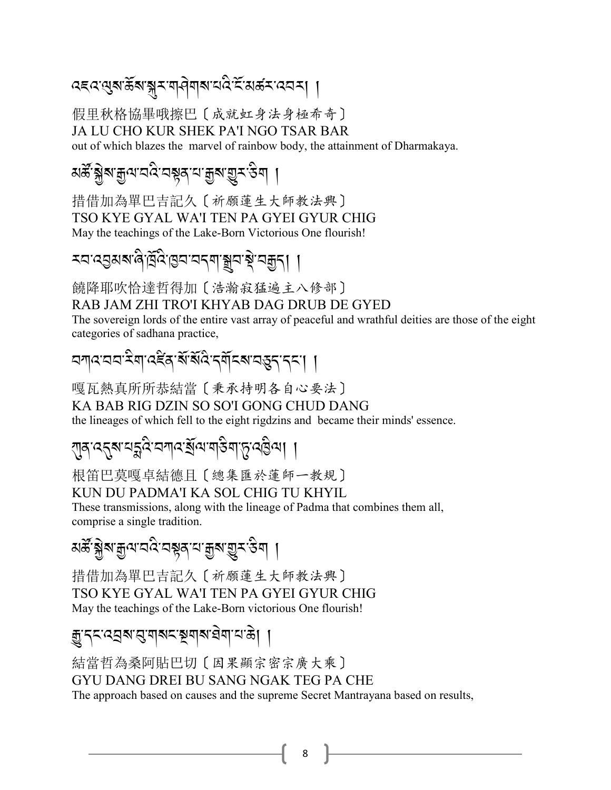### বহন থৰা ভূপান্ধীৰ মাৰ্বিৰ প্ৰত্যাপ্ৰয়ে প্ৰব্ৰহা ।

假里秋格協畢哦擦巴〔成就虹身法身極希奇〕 JA LU CHO KUR SHEK PA'I NGO TSAR BAR out of which blazes the marvel of rainbow body, the attainment of Dharmakaya.

### *য়ড়ৣ৾ৠ৶৾৾*ৠ৸৸ৢ৸৻৸৸ড়৸ৼঢ়৸ড়৸ৼ৻ড়৸

措借加為單巴吉記久〔祈願蓮生大師教法興〕 TSO KYE GYAL WA'I TEN PA GYEI GYUR CHIG May the teachings of the Lake-Born Victorious One flourish!

### 

饒降耶吹恰達哲得加〔浩瀚寂猛遍主八修部〕 RAB JAM ZHI TRO'I KHYAB DAG DRUB DE GYED

The sovereign lords of the entire vast array of peaceful and wrathful deities are those of the eight categories of sadhana practice,

### <u> বশ্ববেব ইন্মুপ্ৰইন ইয়ে ইন্নে ইন্নে ব্ৰহ্ব বৰ্ত্ত ।</u>

嘎瓦熱真所所恭結當〔秉承持明各自心要法〕 KA BAB RIG DZIN SO SO'I GONG CHUD DANG the lineages of which fell to the eight rigdzins and became their minds' essence.

### য়ৣঀ৾৻ৼ৾ৼ৶ৼৗৼৢৼৢ৻ৼৢৼৢ৻ৼ৸৻৸৻৸৻৸৻৸৻৸৻৸৻

根笛巴莫嘎卓結德目〔總集匯於蓮師一教規〕

#### KUN DU PADMA'I KA SOL CHIG TU KHYIL

These transmissions, along with the lineage of Padma that combines them all, comprise a single tradition.

### য়ৼৄ<sub>৻</sub>ৠ৶য়৸<sub>৸</sub>ৼ৻ৼ৸ৼ৸ৼ৸ৼ৸ৼ৸ৼ৸

措借加為單巴吉記久〔祈願蓮生大師教法興〕 TSO KYE GYAL WA'I TEN PA GYEI GYUR CHIG May the teachings of the Lake-Born victorious One flourish!

#### ক্সু:বহ:ওব্ৰৰ:প্ৰ:ৰাৰহ:ইন্মৰ,ব্ৰৱা.ব.ডু। ।

結當哲為桑阿貼巴切〔因果顯宗密宗廣大乘〕 GYU DANG DREI BU SANG NGAK TEG PA CHE The approach based on causes and the supreme Secret Mantrayana based on results,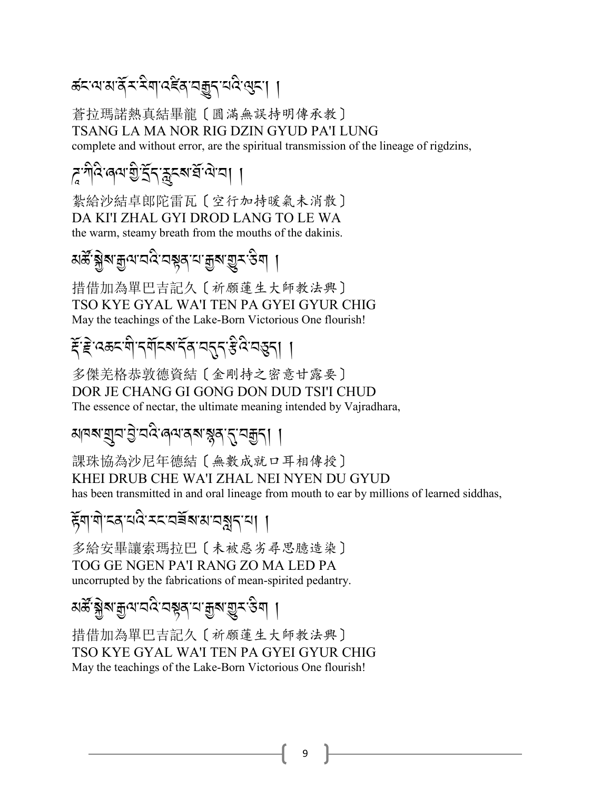### क्टलबार् राहेबाददेवानकुरायदेख्या ।

蒼拉瑪諾熱真結畢龍〔圓滿無誤持明傳承教〕 TSANG LA MA NOR RIG DZIN GYUD PA'I LUNG complete and without error, are the spiritual transmission of the lineage of rigdzins,

## *ह* শীব ৰেন্ম গ্ৰীৰ্ট্ৰ্ন স্কুৰ্ন্ম ব্ৰান্ম। ।

紮給沙結卓郎陀雷瓦〔空行加持暖氣未消散〕 DA KI'I ZHAL GYI DROD LANG TO LE WA the warm, steamy breath from the mouths of the dakinis.

## *য়ড়ৣ৾ৠ৶৾৾*ৠ৸৸ৢ৸ৢ৻৸ড়৾ৼ৸৸৸৸ৢৼ৻ড়৸

措借加為單巴吉記久〔祈願蓮生大師教法興〕 TSO KYE GYAL WA'I TEN PA GYEI GYUR CHIG May the teachings of the Lake-Born Victorious One flourish!

# ट्सं दे उकर यो दर्यादब देव वहन है दे वहना ।

多傑羌格恭敦德資結〔金剛持之密意甘露要〕 DOR JE CHANG GI GONG DON DUD TSI'I CHUD The essence of nectar, the ultimate meaning intended by Vajradhara,

#### ॴॺॺॱॺॖॣय़ॱऄॖॱय़ढ़ऀॱढ़ॺॱढ़ॺॱॺॢॺॱॸॣॱय़क़ॗॸ<u>ॖ</u>ऻ

課珠協為沙尼年德結〔無數成就口耳相傳授〕 KHEI DRUB CHE WA'I ZHAL NEI NYEN DU GYUD has been transmitted in and oral lineage from mouth to ear by millions of learned siddhas,

#### हॅयायोद्दयवेददव्यद्यायत्रुदया ।

多給安畢讓索瑪拉巴〔未被惡劣尋思臆造染〕 TOG GE NGEN PA'I RANG ZO MA LED PA uncorrupted by the fabrications of mean-spirited pedantry.

## *য়ড়ৣ৾ৠ৶<sup>ড়</sup>৸*য়ড়৻য়ড়য়৸য়ঀয়৸ড়৸য়৾

措借加為單巴吉記久〔祈願蓮生大師教法興〕 TSO KYE GYAL WA'I TEN PA GYEI GYUR CHIG May the teachings of the Lake-Born Victorious One flourish!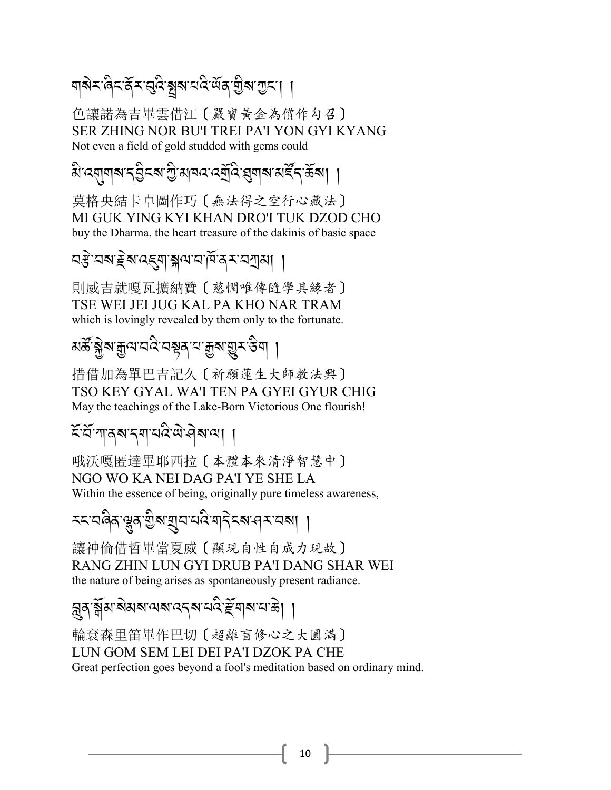### য়য়ৼ৻ড়ৼ৻ঀৄৼ৻ৼঀড়৻য়য়৸৻৻য়৻ড়৻য়ঢ়ঢ়য়৻৸

色讓諾為吉畢雲借江〔嚴寶黃金為償作勾召〕 SER ZHING NOR BU'I TREI PA'I YON GYI KYANG Not even a field of gold studded with gems could

<u> ঝক্ৰ্যালৰ পৰি আৰু প্ৰতিষ্ঠালৰ পৰি বিভিন্ন পৰি পৰি বিভিন্ন পৰি বিভিন্ন পৰি বিভিন্ন পৰি বিভিন্ন পৰি বিভিন্ন পৰি</u>

莫格央結卡卓圖作巧〔無法得之空行心藏法〕 MI GUK YING KYI KHAN DRO'I TUK DZOD CHO buy the Dharma, the heart treasure of the dakinis of basic space

#### ন্দ্ৰ অৰুষ্টিৰ স্বাস্থ্য সম্পৰ্ক বিদ্যালয়।

則威吉就嘎瓦擴納贊〔慈憫唯傳隨學具緣者〕 TSE WEI JEI JUG KAL PA KHO NAR TRAM which is lovingly revealed by them only to the fortunate.

## য়ড়ৣ৾*ৠ৶৾৾*ৠ৸য়ড়৻ৼঢ়ড়য়ৼঢ়ড়৻য়৾ড়৸ঢ়৸

措借加為單巴吉記久〔祈願蓮生大師教法興〕 TSO KEY GYAL WA'I TEN PA GYEI GYUR CHIG May the teachings of the Lake-Born Victorious One flourish!

#### ইর্দ্রশান্ত্রমান্বাঘাইজ্ঞা এরমানা ।

哦沃嘎匿達畢耶西拉〔本體本來清淨智慧中〕 NGO WO KA NEI DAG PA'I YE SHE LA Within the essence of being, originally pure timeless awareness,

≍< ঘণ্ডৰ উপরায়ন ঘণ্ড মাধ্যমন মা ।

讓神倫借哲畢當夏威〔顯現自性自成力現故〕 RANG ZHIN LUN GYI DRUB PA'I DANG SHAR WEI the nature of being arises as spontaneously present radiance.

## <u>ন</u>ুৰ স্ক্ৰীম'ৰ্মমান্ম'ন্নৰ মানৱি দ্ৰীৰাম'ন'ক্ৰ। ।

輪袞森里笛畢作巴切〔超離盲修心之大圓滿〕 LUN GOM SEM LEI DEI PA'I DZOK PA CHE Great perfection goes beyond a fool's meditation based on ordinary mind.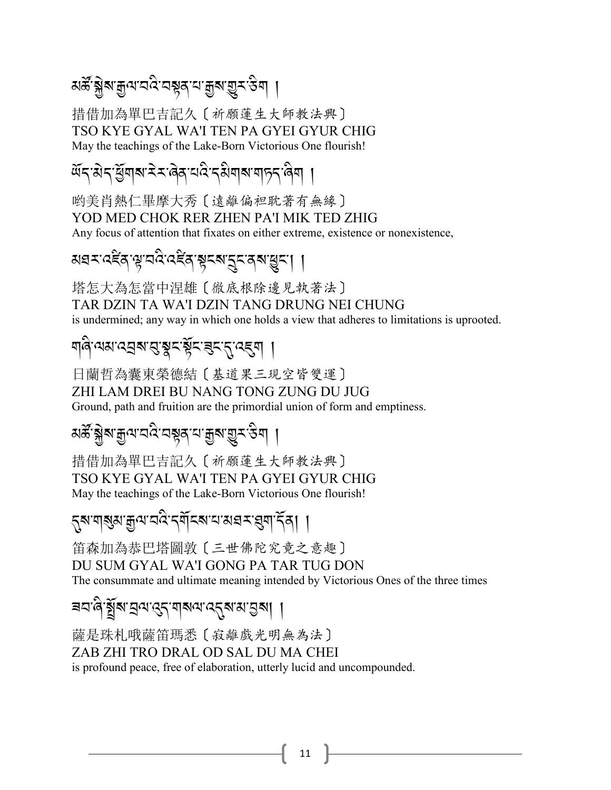### *য়ড়ৣ৾ৠ৶<sup>ড়</sup>৸*য়ড়৻য়ড়য়৸য়৸য়৸ড়৸৸

措借加為單巴吉記久〔祈願蓮生大師教法興〕 TSO KYE GYAL WA'I TEN PA GYEI GYUR CHIG May the teachings of the Lake-Born Victorious One flourish!

### *थॅन* सेन युवाब रेमलेव वदे नसेवाब वाहन लेवा

哟美肖熱仁畢摩大秀〔遠離偏袒耽著有無緣〕 YOD MED CHOK RER ZHEN PA'I MIK TED ZHIG Any focus of attention that fixates on either extreme, existence or nonexistence,

### अवरादद्देवायायदित्द्देवाञ्चरबात्रयवबासुरा ।

塔怎大為怎當中涅雄〔徹底根除邊見執著法〕 TAR DZIN TA WA'I DZIN TANG DRUNG NEI CHUNG is undermined; any way in which one holds a view that adheres to limitations is uprooted.

### <u> ଘd.লথা বের এপ্রিই (ইংরিং, প্রব্রি</u>।

日蘭哲為囊東榮德結〔基道果三現空皆雙運〕 ZHI LAM DREI BU NANG TONG ZUNG DU JUG Ground, path and fruition are the primordial union of form and emptiness.

#### য়ৼৄ<sub>৻</sub>ৠ৶য়৸<sub>৸</sub>ৼ৻ৼ৸ড়৸৸য়৸ড়৸ড়৸

措借加為單巴吉記久〔祈願蓮生大師教法興〕 TSO KYE GYAL WA'I TEN PA GYEI GYUR CHIG May the teachings of the Lake-Born Victorious One flourish!

### 

笛森加為恭巴塔圖敦〔三世佛陀究竟之意趣〕 DU SUM GYAL WA'I GONG PA TAR TUG DON The consummate and ultimate meaning intended by Victorious Ones of the three times

#### 

薩是珠札哦薩笛瑪悉〔寂離戲光明無為法〕 ZAB ZHI TRO DRAL OD SAL DU MA CHEI is profound peace, free of elaboration, utterly lucid and uncompounded.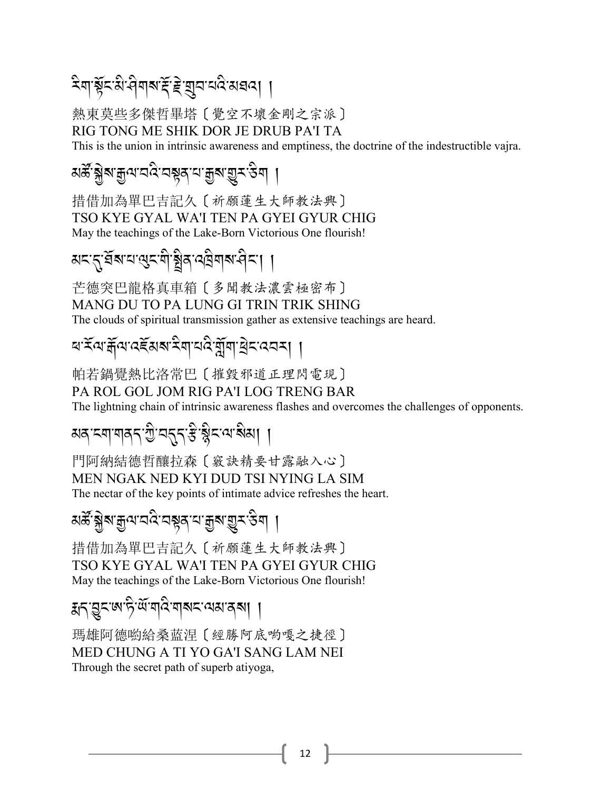### 

熱東莫些多傑哲畢塔〔覺空不壞金剛之宗派〕 RIG TONG ME SHIK DOR JE DRUB PA'I TA

This is the union in intrinsic awareness and emptiness, the doctrine of the indestructible vajra.

#### *য়ড়ৣ৾ৠ৶৾৾*৶৻য়<sub>৸</sub><br>প<sub>্</sub>পৃথিপ্ৰাপ্ত প্ৰাণ্ট প্ৰাণ্ট প্ৰা

措借加為單巴吉記久〔祈願蓮生大師教法興〕 TSO KYE GYAL WA'I TEN PA GYEI GYUR CHIG May the teachings of the Lake-Born Victorious One flourish!

### अद्दुर्धेबायायुदयोञ्चेवायवैयाबानेदा ।

芒德突巴龍格真車箱〔多聞教法濃雲極密布〕 MANG DU TO PA LUNG GI TRIN TRIK SHING The clouds of spiritual transmission gather as extensive teachings are heard.

### <u> লর্হনে:भूजाउँ प्रथा दुर्गायादुर्गे संविद्ययन्।</u> ।

帕若鍋覺熱比洛常巴〔摧毀邪道正理閃電現〕 PA ROL GOL JOM RIG PA'I LOG TRENG BAR The lightning chain of intrinsic awareness flashes and overcomes the challenges of opponents.

### अव द्यायावद ग्रु वद्गद् <del>है</del> श्लेद वा श्वेत्रा ।

門阿納結德哲釀拉森〔竅訣精要甘露融入心〕 MEN NGAK NED KYI DUD TSI NYING LA SIM The nectar of the key points of intimate advice refreshes the heart.

### য়ড়<u>ॖॷ</u>ॕॷॵय़ऀॷॎॾऻॷॳॷॴख़ॷॎऻ

措借加為單巴吉記久〔祈願蓮生大師教法興〕 TSO KYE GYAL WA'I TEN PA GYEI GYUR CHIG May the teachings of the Lake-Born Victorious One flourish!

#### ह्मद्भुद्रालार्फे <sup>क्षा</sup>यादे यात्रादायस्य ।।

瑪雄阿德喲給桑蓝涅〔經勝阿底喲嘎之捷徑〕 MED CHUNG A TI YO GA'I SANG LAM NEI Through the secret path of superb atiyoga,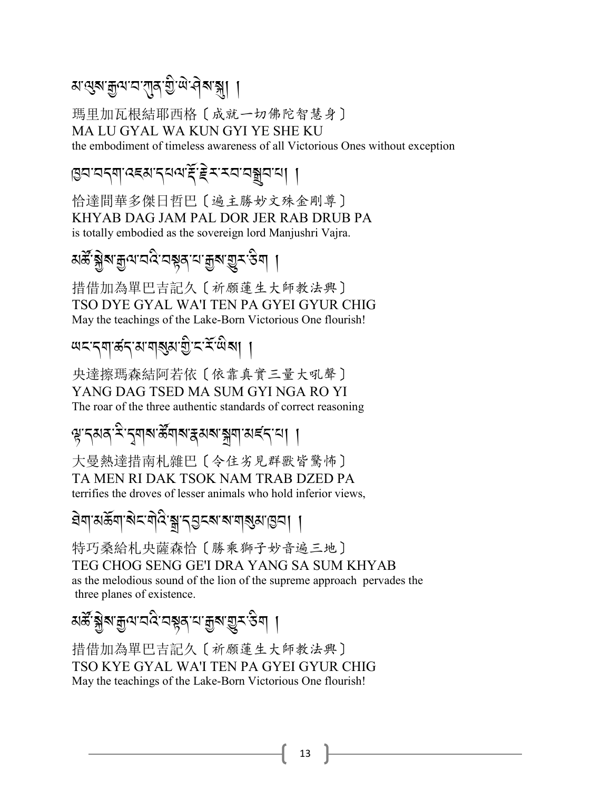### ম'থ্ৰুম'ক্ৰুণ'ম'গ্ৰাব'খ্ৰী'নীম'ক্লা ।

瑪里加瓦根結耶西格〔成就一切佛陀智慧身〕 MA LU GYAL WA KUN GYI YE SHE KU the embodiment of timeless awareness of all Victorious Ones without exception

४ अर्था उद्यादयवाद् इराय्य अधि ।

恰達間華多傑日哲巴〔遍主勝妙文殊金剛尊〕 KHYAB DAG JAM PAL DOR JER RAB DRUB PA is totally embodied as the sovereign lord Manjushri Vajra.

### *য়ড়ৣ৾ৠ৶৾৾*ৠ৸৸ৢ৸ৢ৻৸ড়৾ৼ৸৸৸৸ৢৼ৻ড়৸

措借加為單巴吉記久〔祈願蓮生大師教法興〕 TSO DYE GYAL WA'I TEN PA GYEI GYUR CHIG May the teachings of the Lake-Born Victorious One flourish!

### 

央達擦瑪森結阿若依〔依靠真實三量大吼聲〕 YANG DAG TSED MA SUM GYI NGA RO YI The roar of the three authentic standards of correct reasoning

#### ৠৢ<sup>੶</sup>৲য়য়<sup>੶ঽ৾</sup>ॱ৲য়য়ৼড়ৢয়য়৸৸ৼয়য়৸৸ৼ৻৴৸

大曼熱達措南札雜巴〔令住劣見群獸皆驚怖〕 TA MEN RI DAK TSOK NAM TRAB DZED PA terrifies the droves of lesser animals who hold inferior views,

*ঽ৾*ॺऻ*য়ড়*৶ৼড়ঢ়ড়৻ড়৸ড়ৼঢ়ড়৻ৼয়ৼঢ়ঢ়ঢ়ঢ়ড়ড়৸

特巧桑給札央薩森恰〔勝乘獅子妙音遍三地〕 TEG CHOG SENG GE'I DRA YANG SA SUM KHYAB as the melodious sound of the lion of the supreme approach pervades the three planes of existence.

## য়ৼৄ<sub>৻</sub>ৠ৶য়৾৸<sub>৸</sub>ৼ৸ৼ৸ৼ৸ৼ৸ৼ৸ৼ৸

措借加為單巴吉記久 [ 祈願蓮生大師教法興] TSO KYE GYAL WA'I TEN PA GYEI GYUR CHIG May the teachings of the Lake-Born Victorious One flourish!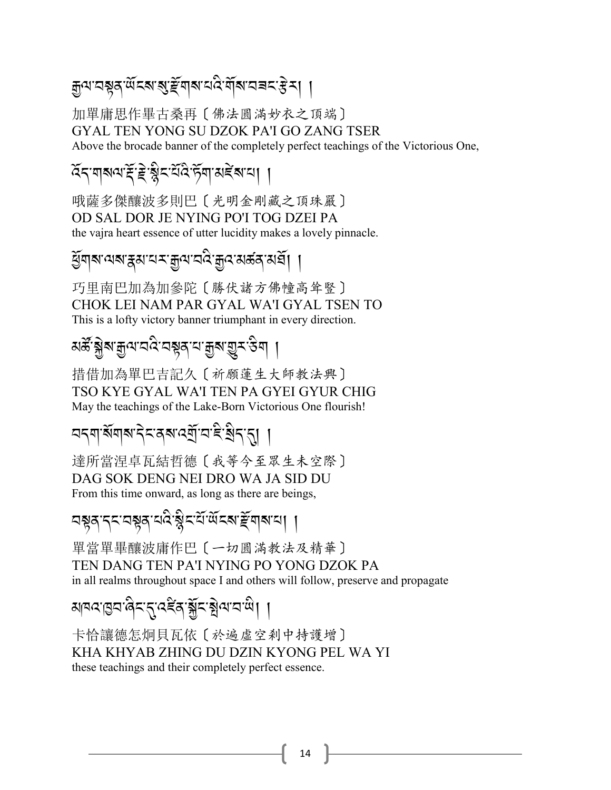### ক্ৰুন'নম্বন'ৰ্অনৰ'ৰ্ছ'ৰ্মৰ'নেই'ৰ্মৰ'নৰন'ষ্টমা ।

加單庸思作畢古桑再〔佛法圓滿妙衣之頂端〕 GYAL TEN YONG SU DZOK PA'I GO ZANG TSER Above the brocade banner of the completely perfect teachings of the Victorious One,

#### देन गबवाई हे ब्लैट येंदे से गुराबर्दे बाया ।

哦薩多傑釀波多則巴〔光明金剛藏之頂珠嚴〕 OD SAL DOR JE NYING PO'I TOG DZEI PA the vajra heart essence of utter lucidity makes a lovely pinnacle.

#### *ୱି*ଁସାঝ'ঝঝ'ক্কম'ঘম'ক্কুন'যক্তি মন্ত্ৰী । ।

巧里南巴加為加參陀〔勝伏諸方佛幢高耸豎〕 CHOK LEI NAM PAR GYAL WA'I GYAL TSEN TO This is a lofty victory banner triumphant in every direction.

### য়ড়ৣ৾*ৠ৶৾৾*ৠ৸য়ড়৻ৼঢ়ড়য়ৼঢ়ড়৻য়৾ড়৸ঢ়৸

措借加為單巴吉記久〔祈願蓮生大師教法興〕 TSO KYE GYAL WA'I TEN PA GYEI GYUR CHIG May the teachings of the Lake-Born Victorious One flourish!

#### ଘব্যার্থবাৰ বিৰোধ উন্নট বিধা ।

達所當涅卓瓦結哲德〔我等今至眾生未空際〕 DAG SOK DENG NEI DRO WA JA SID DU From this time onward, as long as there are beings,

### 

單當單畢釀波庸作巴〔一切圓滿教法及精華〕 TEN DANG TEN PA'I NYING PO YONG DZOK PA in all realms throughout space I and others will follow, preserve and propagate

#### <u> अवदाबदालेदात्तदद्देवाङ्गेदाञ्चेत्रायाले।</u> ।

卡恰讓德怎炯貝瓦依〔於遍虛空刹中持護增〕 KHA KHYAB ZHING DU DZIN KYONG PEL WA YI these teachings and their completely perfect essence.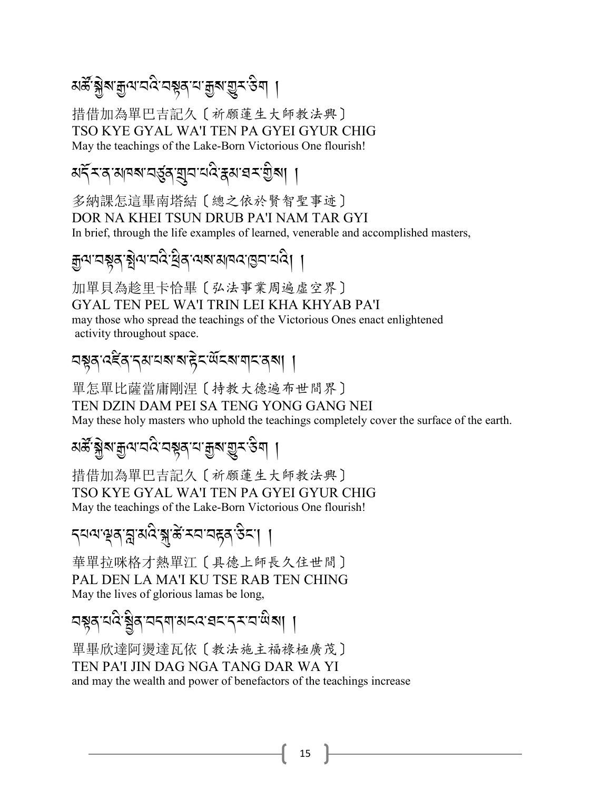#### মৰ্স্ক্ৰিষ্ট্ৰ ক্ষুণ্ম বৰ্ষ্ণ প্ৰমানী সম্ভূষ্ক প্ৰা  $\overline{\phantom{a}}$

措借加為單巴吉記久〔祈願蓮生大師教法興〕 TSO KYE GYAL WA'I TEN PA GYEI GYUR CHIG May the teachings of the Lake-Born Victorious One flourish!

#### মৰ্দ্দিৰ সামৰা বৰ্ত্তৰ ব্ৰিতা বিদ্ৰোপন কৰি সম্পৰ্ক  $\overline{\phantom{a}}$

多納課怎這畢南塔結〔總之依於賢智聖事迹〕 DOR NA KHEI TSUN DRUB PA'I NAM TAR GYI In brief, through the life examples of learned, venerable and accomplished masters,

#### ক্কুন্মসম্পৰ্কে: <u>ম</u>্লব্ৰাৰম্পৰা বিভিন্ন প্ৰদ্ৰব্ J ,

加單貝為趁里卡恰畢〔弘法事業周遍虛空界〕 GYAL TEN PEL WA'I TRIN LEI KHA KHYAB PA'I may those who spread the teachings of the Victorious Ones enact enlightened activity throughout space.

#### *2*!*/- :6*B */- .3- 0?- ?- g* J*%- ;* R*%?- \$%- /?*,-,

單怎單比薩當庸剛涅〔持教大德遍布世間界〕 TEN DZIN DAM PEI SA TENG YONG GANG NEI May these holy masters who uphold the teachings completely cover the surface of the earth.

# মৰ্স্কৃষ্ট্ৰৰ *মুন'ন'ই* প্ৰস্নীৰ প্ৰশ্ন প্ৰশ্ন প্ৰস্কৃতি প্ৰ

措借加為單巴吉記久〔祈願蓮生大師教法興〕 TSO KYE GYAL WA'I TEN PA GYEI GYUR CHIG May the teachings of the Lake-Born Victorious One flourish!

#### ক্ষা প্ৰব্ৰাস্ত্ৰীয়ে স্কুল্কা প্ৰব্ৰাস্থিত পৰিৱেশী<br>বিশিষ্টি সম্পৰ্কা প্ৰব্ৰাপনী ,

華單拉咪格才熱單江〔具德上師長久住世間〕 PAL DEN LA MA'I KU TSE RAB TEN CHING May the lives of glorious lamas be long,

# বষ্ণুব্<sup>,</sup>ঘণ্ড্,স্ট্রিপ্নব্দ্মামহ্রে গ্রহ্ম্বন্দ্র্য গ্রহ্ম্ব। ।

單畢欣達阿燙達瓦依〔教法施主福祿極廣茂〕 TEN PA'I JIN DAG NGA TANG DAR WA YI and may the wealth and power of benefactors of the teachings increase